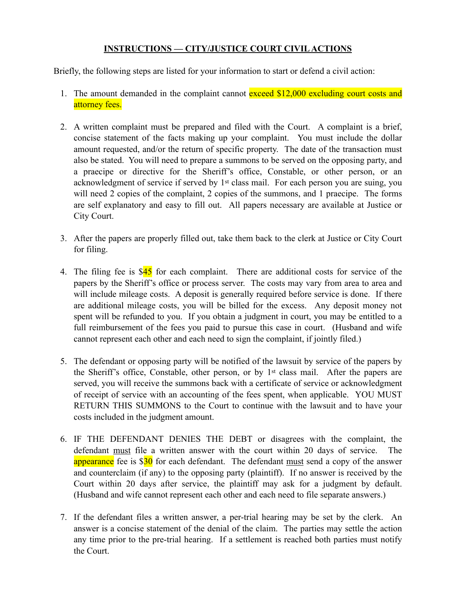## **INSTRUCTIONS — CITY/JUSTICE COURT CIVIL ACTIONS**

Briefly, the following steps are listed for your information to start or defend a civil action:

- 1. The amount demanded in the complaint cannot exceed \$12,000 excluding court costs and attorney fees.
- 2. A written complaint must be prepared and filed with the Court. A complaint is a brief, concise statement of the facts making up your complaint. You must include the dollar amount requested, and/or the return of specific property. The date of the transaction must also be stated. You will need to prepare a summons to be served on the opposing party, and a praecipe or directive for the Sheriff's office, Constable, or other person, or an acknowledgment of service if served by 1st class mail. For each person you are suing, you will need 2 copies of the complaint, 2 copies of the summons, and 1 praecipe. The forms are self explanatory and easy to fill out. All papers necessary are available at Justice or City Court.
- 3. After the papers are properly filled out, take them back to the clerk at Justice or City Court for filing.
- 4. The filing fee is  $$45$  for each complaint. There are additional costs for service of the papers by the Sheriff's office or process server. The costs may vary from area to area and will include mileage costs. A deposit is generally required before service is done. If there are additional mileage costs, you will be billed for the excess. Any deposit money not spent will be refunded to you. If you obtain a judgment in court, you may be entitled to a full reimbursement of the fees you paid to pursue this case in court. (Husband and wife cannot represent each other and each need to sign the complaint, if jointly filed.)
- 5. The defendant or opposing party will be notified of the lawsuit by service of the papers by the Sheriff's office, Constable, other person, or by 1st class mail. After the papers are served, you will receive the summons back with a certificate of service or acknowledgment of receipt of service with an accounting of the fees spent, when applicable. YOU MUST RETURN THIS SUMMONS to the Court to continue with the lawsuit and to have your costs included in the judgment amount.
- 6. IF THE DEFENDANT DENIES THE DEBT or disagrees with the complaint, the defendant must file a written answer with the court within 20 days of service. The appearance fee is \$30 for each defendant. The defendant must send a copy of the answer and counterclaim (if any) to the opposing party (plaintiff). If no answer is received by the Court within 20 days after service, the plaintiff may ask for a judgment by default. (Husband and wife cannot represent each other and each need to file separate answers.)
- 7. If the defendant files a written answer, a per-trial hearing may be set by the clerk. An answer is a concise statement of the denial of the claim. The parties may settle the action any time prior to the pre-trial hearing. If a settlement is reached both parties must notify the Court.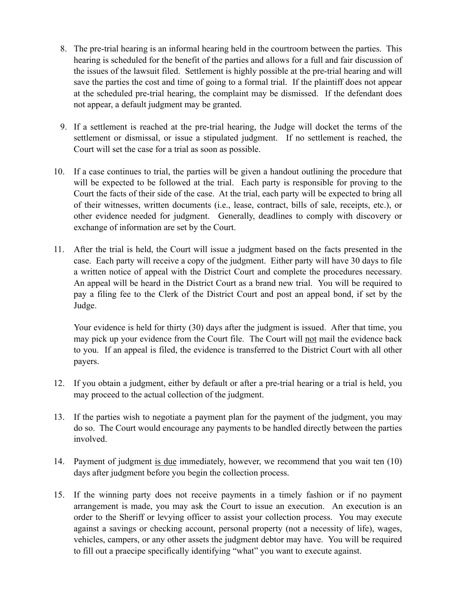- 8. The pre-trial hearing is an informal hearing held in the courtroom between the parties. This hearing is scheduled for the benefit of the parties and allows for a full and fair discussion of the issues of the lawsuit filed. Settlement is highly possible at the pre-trial hearing and will save the parties the cost and time of going to a formal trial. If the plaintiff does not appear at the scheduled pre-trial hearing, the complaint may be dismissed. If the defendant does not appear, a default judgment may be granted.
- 9. If a settlement is reached at the pre-trial hearing, the Judge will docket the terms of the settlement or dismissal, or issue a stipulated judgment. If no settlement is reached, the Court will set the case for a trial as soon as possible.
- 10. If a case continues to trial, the parties will be given a handout outlining the procedure that will be expected to be followed at the trial. Each party is responsible for proving to the Court the facts of their side of the case. At the trial, each party will be expected to bring all of their witnesses, written documents (i.e., lease, contract, bills of sale, receipts, etc.), or other evidence needed for judgment. Generally, deadlines to comply with discovery or exchange of information are set by the Court.
- 11. After the trial is held, the Court will issue a judgment based on the facts presented in the case. Each party will receive a copy of the judgment. Either party will have 30 days to file a written notice of appeal with the District Court and complete the procedures necessary. An appeal will be heard in the District Court as a brand new trial. You will be required to pay a filing fee to the Clerk of the District Court and post an appeal bond, if set by the Judge.

Your evidence is held for thirty (30) days after the judgment is issued. After that time, you may pick up your evidence from the Court file. The Court will not mail the evidence back to you. If an appeal is filed, the evidence is transferred to the District Court with all other payers.

- 12. If you obtain a judgment, either by default or after a pre-trial hearing or a trial is held, you may proceed to the actual collection of the judgment.
- 13. If the parties wish to negotiate a payment plan for the payment of the judgment, you may do so. The Court would encourage any payments to be handled directly between the parties involved.
- 14. Payment of judgment is due immediately, however, we recommend that you wait ten (10) days after judgment before you begin the collection process.
- 15. If the winning party does not receive payments in a timely fashion or if no payment arrangement is made, you may ask the Court to issue an execution. An execution is an order to the Sheriff or levying officer to assist your collection process. You may execute against a savings or checking account, personal property (not a necessity of life), wages, vehicles, campers, or any other assets the judgment debtor may have. You will be required to fill out a praecipe specifically identifying "what" you want to execute against.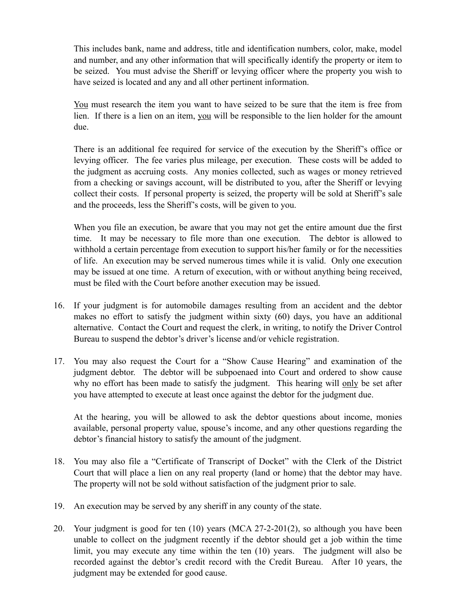This includes bank, name and address, title and identification numbers, color, make, model and number, and any other information that will specifically identify the property or item to be seized. You must advise the Sheriff or levying officer where the property you wish to have seized is located and any and all other pertinent information.

You must research the item you want to have seized to be sure that the item is free from lien. If there is a lien on an item, you will be responsible to the lien holder for the amount due.

There is an additional fee required for service of the execution by the Sheriff's office or levying officer. The fee varies plus mileage, per execution. These costs will be added to the judgment as accruing costs. Any monies collected, such as wages or money retrieved from a checking or savings account, will be distributed to you, after the Sheriff or levying collect their costs. If personal property is seized, the property will be sold at Sheriff's sale and the proceeds, less the Sheriff's costs, will be given to you.

When you file an execution, be aware that you may not get the entire amount due the first time. It may be necessary to file more than one execution. The debtor is allowed to withhold a certain percentage from execution to support his/her family or for the necessities of life. An execution may be served numerous times while it is valid. Only one execution may be issued at one time. A return of execution, with or without anything being received, must be filed with the Court before another execution may be issued.

- 16. If your judgment is for automobile damages resulting from an accident and the debtor makes no effort to satisfy the judgment within sixty (60) days, you have an additional alternative. Contact the Court and request the clerk, in writing, to notify the Driver Control Bureau to suspend the debtor's driver's license and/or vehicle registration.
- 17. You may also request the Court for a "Show Cause Hearing" and examination of the judgment debtor. The debtor will be subpoenaed into Court and ordered to show cause why no effort has been made to satisfy the judgment. This hearing will only be set after you have attempted to execute at least once against the debtor for the judgment due.

At the hearing, you will be allowed to ask the debtor questions about income, monies available, personal property value, spouse's income, and any other questions regarding the debtor's financial history to satisfy the amount of the judgment.

- 18. You may also file a "Certificate of Transcript of Docket" with the Clerk of the District Court that will place a lien on any real property (land or home) that the debtor may have. The property will not be sold without satisfaction of the judgment prior to sale.
- 19. An execution may be served by any sheriff in any county of the state.
- 20. Your judgment is good for ten (10) years (MCA 27-2-201(2), so although you have been unable to collect on the judgment recently if the debtor should get a job within the time limit, you may execute any time within the ten (10) years. The judgment will also be recorded against the debtor's credit record with the Credit Bureau. After 10 years, the judgment may be extended for good cause.